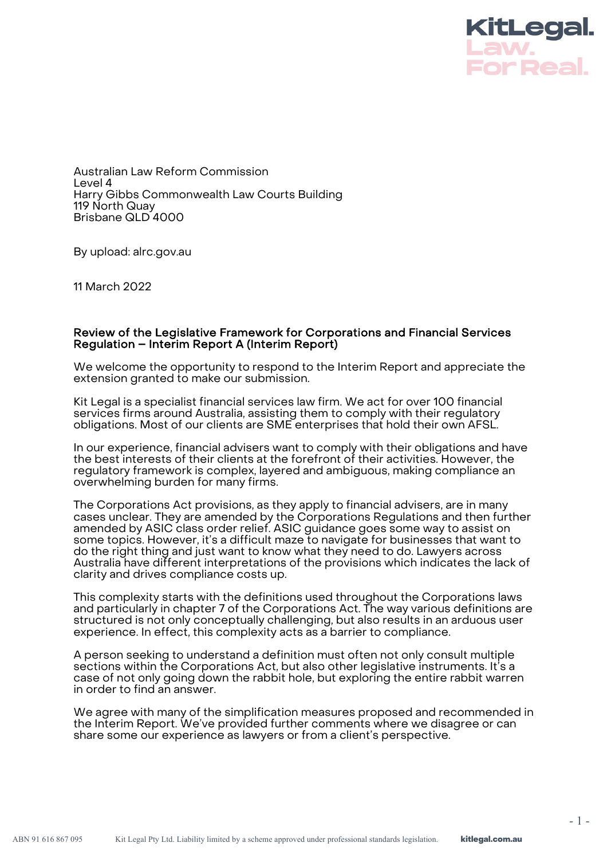

Australian Law Reform Commission Level 4 Harry Gibbs Commonwealth Law Courts Building 119 North Quay Brisbane QLD 4000

By upload: alrc.gov.au

11 March 2022

#### Review of the Legislative Framework for Corporations and Financial Services Regulation – Interim Report A (Interim Report)

We welcome the opportunity to respond to the Interim Report and appreciate the extension granted to make our submission.

Kit Legal is a specialist financial services law firm. We act for over 100 financial services firms around Australia, assisting them to comply with their regulatory obligations. Most of our clients are SME enterprises that hold their own AFSL.

In our experience, financial advisers want to comply with their obligations and have the best interests of their clients at the forefront of their activities. However, the regulatory framework is complex, layered and ambiguous, making compliance an overwhelming burden for many firms.

The Corporations Act provisions, as they apply to financial advisers, are in many cases unclear. They are amended by the Corporations Regulations and then further amended by ASIC class order relief. ASIC guidance goes some way to assist on some topics. However, it's a difficult maze to navigate for businesses that want to do the right thing and just want to know what they need to do. Lawyers across Australia have different interpretations of the provisions which indicates the lack of clarity and drives compliance costs up.

This complexity starts with the definitions used throughout the Corporations laws and particularly in chapter 7 of the Corporations Act. The way various definitions are structured is not only conceptually challenging, but also results in an arduous user experience. In effect, this complexity acts as a barrier to compliance.

A person seeking to understand a definition must often not only consult multiple sections within the Corporations Act, but also other legislative instruments. It's a case of not only going down the rabbit hole, but exploring the entire rabbit warren in order to find an answer.

We agree with many of the simplification measures proposed and recommended in the Interim Report. We've provided further comments where we disagree or can share some our experience as lawyers or from a client's perspective.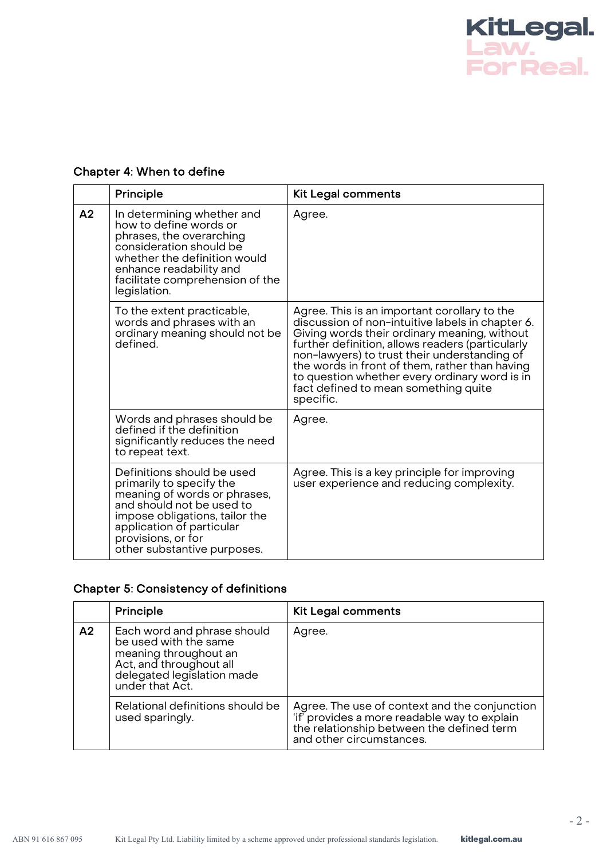

### Chapter 4: When to define

|    | Principle                                                                                                                                                                                                                               | Kit Legal comments                                                                                                                                                                                                                                                                                                                                                                                           |
|----|-----------------------------------------------------------------------------------------------------------------------------------------------------------------------------------------------------------------------------------------|--------------------------------------------------------------------------------------------------------------------------------------------------------------------------------------------------------------------------------------------------------------------------------------------------------------------------------------------------------------------------------------------------------------|
| A2 | In determining whether and<br>how to define words or<br>phrases, the overarching<br>consideration should be<br>whether the definition would<br>enhance readability and<br>facilitate comprehension of the<br>legislation.               | Agree.                                                                                                                                                                                                                                                                                                                                                                                                       |
|    | To the extent practicable,<br>words and phrases with an<br>ordinary meaning should not be<br>defined.                                                                                                                                   | Agree. This is an important corollary to the<br>discussion of non-intuitive labels in chapter 6.<br>Giving words their ordinary meaning, without<br>further definition, allows readers (particularly<br>non-lawyers) to trust their understanding of<br>the words in front of them, rather than having<br>to question whether every ordinary word is in<br>fact defined to mean something quite<br>specific. |
|    | Words and phrases should be<br>defined if the definition<br>significantly reduces the need<br>to repeat text.                                                                                                                           | Agree.                                                                                                                                                                                                                                                                                                                                                                                                       |
|    | Definitions should be used<br>primarily to specify the<br>meaning of words or phrases,<br>and should not be used to<br>impose obligations, tailor the<br>application of particular<br>provisions, or for<br>other substantive purposes. | Agree. This is a key principle for improving<br>user experience and reducing complexity.                                                                                                                                                                                                                                                                                                                     |

# Chapter 5: Consistency of definitions

|    | Principle                                                                                                                                                 | Kit Legal comments                                                                                                                                                     |
|----|-----------------------------------------------------------------------------------------------------------------------------------------------------------|------------------------------------------------------------------------------------------------------------------------------------------------------------------------|
| A2 | Each word and phrase should<br>be used with the same<br>meaning throughout an<br>Act, and throughout all<br>delegated legislation made<br>under that Act. | Agree.                                                                                                                                                                 |
|    | Relational definitions should be<br>used sparingly.                                                                                                       | Agree. The use of context and the conjunction<br>'if' provides a more readable way to explain<br>the relationship between the defined term<br>and other circumstances. |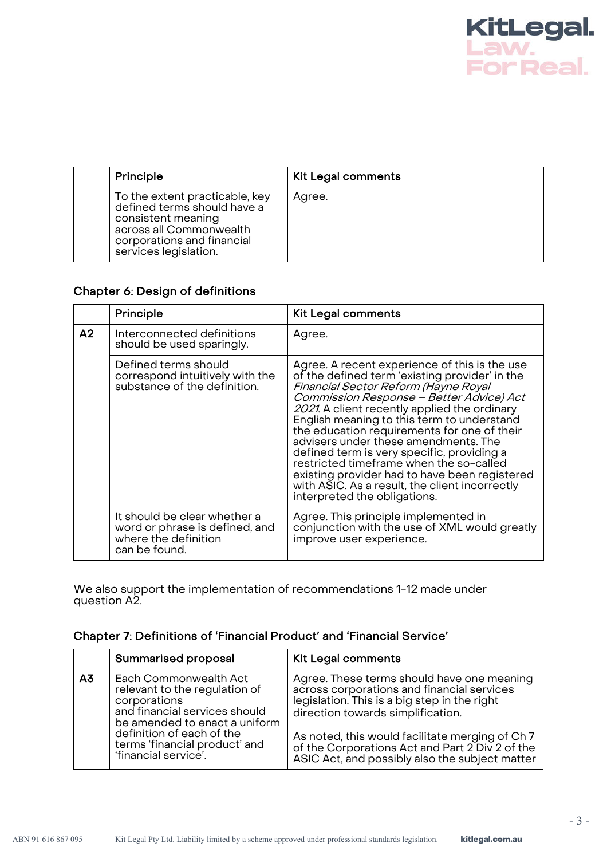

| Principle                                                                                                                                                             | <b>Kit Legal comments</b> |
|-----------------------------------------------------------------------------------------------------------------------------------------------------------------------|---------------------------|
| To the extent practicable, key<br>defined terms should have a<br>consistent meaning<br>across all Commonwealth<br>corporations and financial<br>services legislation. | Agree.                    |

### Chapter 6: Design of definitions

|    | Principle                                                                                               | Kit Legal comments                                                                                                                                                                                                                                                                                                                                                                                                                                                                                                                                                                                   |
|----|---------------------------------------------------------------------------------------------------------|------------------------------------------------------------------------------------------------------------------------------------------------------------------------------------------------------------------------------------------------------------------------------------------------------------------------------------------------------------------------------------------------------------------------------------------------------------------------------------------------------------------------------------------------------------------------------------------------------|
| A2 | Interconnected definitions<br>should be used sparingly.                                                 | Agree.                                                                                                                                                                                                                                                                                                                                                                                                                                                                                                                                                                                               |
|    | Defined terms should<br>correspond intuitively with the<br>substance of the definition.                 | Agree. A recent experience of this is the use<br>of the defined term 'existing provider' in the<br>Financial Sector Reform (Hayne Royal<br>Commission Response - Better Advice) Act<br>2021. A client recently applied the ordinary<br>English meaning to this term to understand<br>the education requirements for one of their<br>advisers under these amendments. The<br>defined term is very specific, providing a<br>restricted timeframe when the so-called<br>existing provider had to have been registered<br>with ASIC. As a result, the client incorrectly<br>interpreted the obligations. |
|    | It should be clear whether a<br>word or phrase is defined, and<br>where the definition<br>can be found. | Agree. This principle implemented in<br>conjunction with the use of XML would greatly<br>improve user experience.                                                                                                                                                                                                                                                                                                                                                                                                                                                                                    |

We also support the implementation of recommendations 1-12 made under question A2.

### Chapter 7: Definitions of 'Financial Product' and 'Financial Service'

|    | <b>Summarised proposal</b>                                                                                                               | <b>Kit Legal comments</b>                                                                                                                                                     |
|----|------------------------------------------------------------------------------------------------------------------------------------------|-------------------------------------------------------------------------------------------------------------------------------------------------------------------------------|
| A3 | Each Commonwealth Act<br>relevant to the regulation of<br>corporations<br>and financial services should<br>be amended to enact a uniform | Agree. These terms should have one meaning<br>across corporations and financial services<br>legislation. This is a big step in the right<br>direction towards simplification. |
|    | definition of each of the<br>terms 'financial product' and<br>'financial service'.                                                       | As noted, this would facilitate merging of Ch 7<br>of the Corporations Act and Part 2 Div 2 of the<br>ASIC Act, and possibly also the subject matter                          |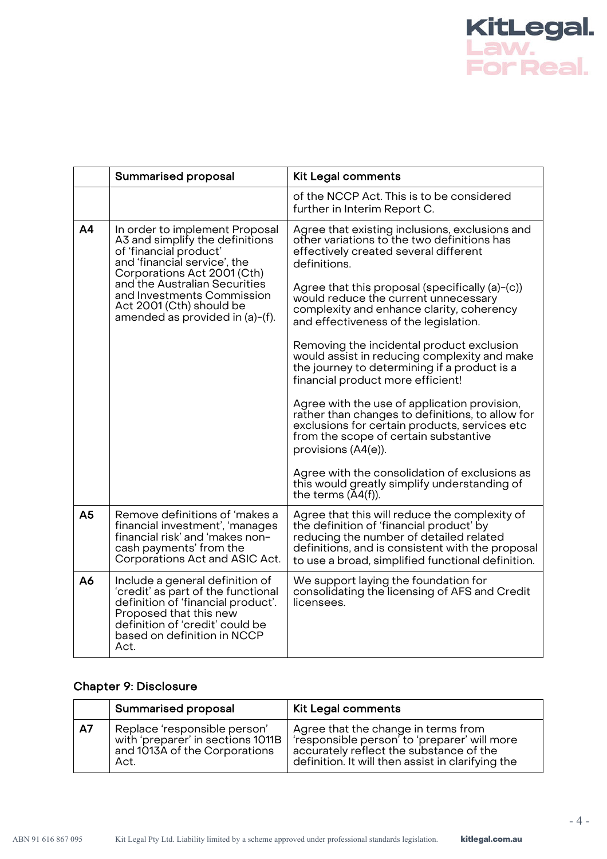

|                | <b>Summarised proposal</b>                                                                                                                                                                                                                                                               | <b>Kit Legal comments</b>                                                                                                                                                                                                                                                                                                                                                                                                                                                                                                                                                                                                                                                                                                                      |
|----------------|------------------------------------------------------------------------------------------------------------------------------------------------------------------------------------------------------------------------------------------------------------------------------------------|------------------------------------------------------------------------------------------------------------------------------------------------------------------------------------------------------------------------------------------------------------------------------------------------------------------------------------------------------------------------------------------------------------------------------------------------------------------------------------------------------------------------------------------------------------------------------------------------------------------------------------------------------------------------------------------------------------------------------------------------|
|                |                                                                                                                                                                                                                                                                                          | of the NCCP Act. This is to be considered<br>further in Interim Report C.                                                                                                                                                                                                                                                                                                                                                                                                                                                                                                                                                                                                                                                                      |
| A4             | In order to implement Proposal<br>A3 and simplify the definitions<br>of 'financial product'<br>and 'financial service', the<br>Corporations Act 2001 (Cth)<br>and the Australian Securities<br>and Investments Commission<br>Act 2001 (Cth) should be<br>amended as provided in (a)-(f). | Agree that existing inclusions, exclusions and<br>other variations to the two definitions has<br>effectively created several different<br>definitions.<br>Agree that this proposal (specifically (a)-(c))<br>would reduce the current unnecessary<br>complexity and enhance clarity, coherency<br>and effectiveness of the legislation.<br>Removing the incidental product exclusion<br>would assist in reducing complexity and make<br>the journey to determining if a product is a<br>financial product more efficient!<br>Agree with the use of application provision,<br>rather than changes to definitions, to allow for<br>exclusions for certain products, services etc<br>from the scope of certain substantive<br>provisions (A4(e)). |
|                |                                                                                                                                                                                                                                                                                          | Agree with the consolidation of exclusions as<br>this would greatly simplify understanding of<br>the terms $(A4(f))$ .                                                                                                                                                                                                                                                                                                                                                                                                                                                                                                                                                                                                                         |
| A <sub>5</sub> | Remove definitions of 'makes a<br>financial investment', 'manages<br>financial risk' and 'makes non-<br>cash payments' from the<br>Corporations Act and ASIC Act.                                                                                                                        | Agree that this will reduce the complexity of<br>the definition of 'financial product' by<br>reducing the number of detailed related<br>definitions, and is consistent with the proposal<br>to use a broad, simplified functional definition.                                                                                                                                                                                                                                                                                                                                                                                                                                                                                                  |
| A6             | Include a general definition of<br>'credit' as part of the functional<br>definition of 'financial product'.<br>Proposed that this new<br>definition of 'credit' could be<br>based on definition in NCCP<br>Act.                                                                          | We support laying the foundation for<br>consolidating the licensing of AFS and Credit<br>licensees.                                                                                                                                                                                                                                                                                                                                                                                                                                                                                                                                                                                                                                            |

### Chapter 9: Disclosure

|    | <b>Summarised proposal</b>                                                                                 | <b>Kit Legal comments</b>                                                                                                                                                          |
|----|------------------------------------------------------------------------------------------------------------|------------------------------------------------------------------------------------------------------------------------------------------------------------------------------------|
| A7 | Replace 'responsible person'<br>with 'preparer' in sections 1011B<br>and 1013A of the Corporations<br>Act. | Agree that the change in terms from<br>fresponsible person to 'preparer' will more<br>accurately reflect the substance of the<br>definition. It will then assist in clarifying the |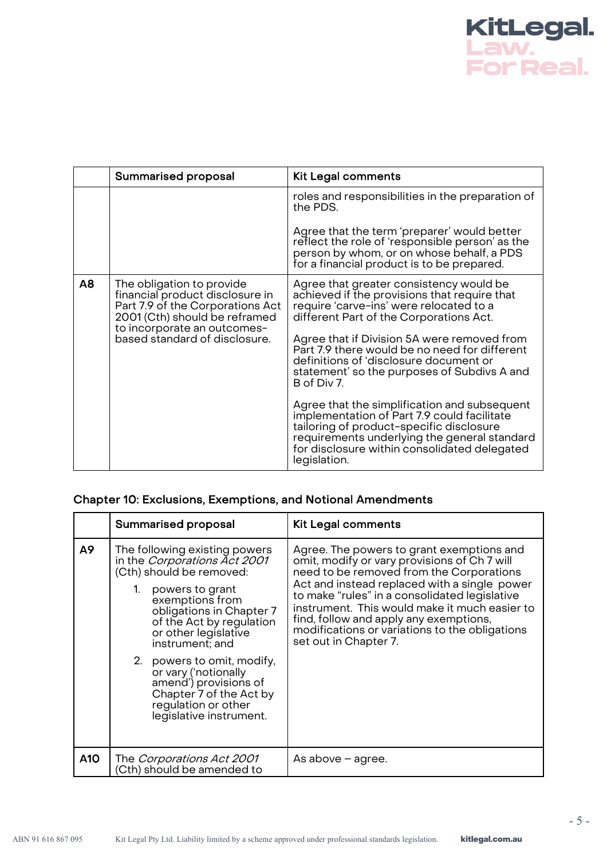

|                | <b>Summarised proposal</b>                                                                                                                                                                        | <b>Kit Legal comments</b>                                                                                                                                                                                                                                                                                                                                                                                                                                                                                                                                                                                                                        |
|----------------|---------------------------------------------------------------------------------------------------------------------------------------------------------------------------------------------------|--------------------------------------------------------------------------------------------------------------------------------------------------------------------------------------------------------------------------------------------------------------------------------------------------------------------------------------------------------------------------------------------------------------------------------------------------------------------------------------------------------------------------------------------------------------------------------------------------------------------------------------------------|
|                |                                                                                                                                                                                                   | roles and responsibilities in the preparation of<br>the PDS.<br>Agree that the term 'preparer' would better<br>reflect the role of 'responsible person' as the                                                                                                                                                                                                                                                                                                                                                                                                                                                                                   |
|                |                                                                                                                                                                                                   | person by whom, or on whose behalf, a PDS<br>for a financial product is to be prepared.                                                                                                                                                                                                                                                                                                                                                                                                                                                                                                                                                          |
| A <sub>8</sub> | The obligation to provide<br>financial product disclosure in<br>Part 7.9 of the Corporations Act<br>2001 (Cth) should be reframed<br>to incorporate an outcomes-<br>based standard of disclosure. | Agree that greater consistency would be<br>achieved if the provisions that require that<br>require 'carve-ins' were relocated to a<br>different Part of the Corporations Act.<br>Agree that if Division 5A were removed from<br>Part 7.9 there would be no need for different<br>definitions of 'disclosure document or<br>statement' so the purposes of Subdivs A and<br>B of Div 7.<br>Agree that the simplification and subsequent<br>implementation of Part 7.9 could facilitate<br>tailoring of product-specific disclosure<br>requirements underlying the general standard<br>for disclosure within consolidated delegated<br>legislation. |

# Chapter 10: Exclusions, Exemptions, and Notional Amendments

|     | <b>Summarised proposal</b>                                                                                                                                                                                                                                                                                                                                                                           | <b>Kit Legal comments</b>                                                                                                                                                                                                                                                                                                                                                                                    |
|-----|------------------------------------------------------------------------------------------------------------------------------------------------------------------------------------------------------------------------------------------------------------------------------------------------------------------------------------------------------------------------------------------------------|--------------------------------------------------------------------------------------------------------------------------------------------------------------------------------------------------------------------------------------------------------------------------------------------------------------------------------------------------------------------------------------------------------------|
| A9  | The following existing powers<br>in the Corporations Act 2001<br>(Cth) should be removed:<br>1.<br>powers to grant<br>exemptions from<br>obligations in Chapter 7<br>of the Act by regulation<br>or other legislative<br>instrument; and<br>2. powers to omit, modify,<br>or vary ('notionally<br>amend') provisions of<br>Chapter 7 of the Act by<br>regulation or other<br>legislative instrument. | Agree. The powers to grant exemptions and<br>omit, modify or vary provisions of Ch 7 will<br>need to be removed from the Corporations<br>Act and instead replaced with a single power<br>to make "rules" in a consolidated legislative<br>instrument. This would make it much easier to<br>find, follow and apply any exemptions,<br>modifications or variations to the obligations<br>set out in Chapter 7. |
| A10 | The <i>Corporations Act 2001</i><br>(Cth) should be amended to                                                                                                                                                                                                                                                                                                                                       | As above $-$ agree.                                                                                                                                                                                                                                                                                                                                                                                          |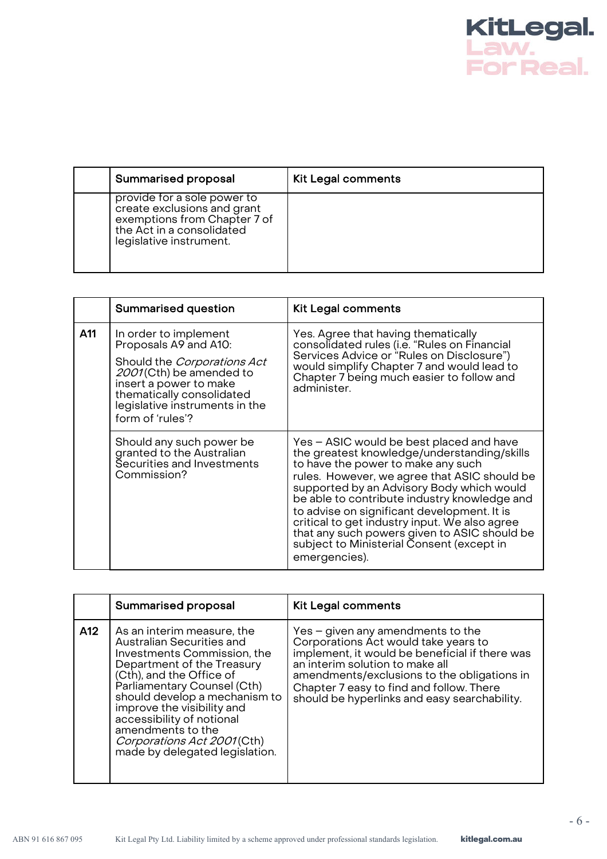

| <b>Summarised proposal</b>                                                                                                                         | Kit Legal comments |
|----------------------------------------------------------------------------------------------------------------------------------------------------|--------------------|
| provide for a sole power to<br>create exclusions and grant<br>exemptions from Chapter 7 of<br>the Act in a consolidated<br>legislative instrument. |                    |

|     | <b>Summarised question</b>                                                                                                                                                                                            | Kit Legal comments                                                                                                                                                                                                                                                                                                                                                                                                                                                                       |
|-----|-----------------------------------------------------------------------------------------------------------------------------------------------------------------------------------------------------------------------|------------------------------------------------------------------------------------------------------------------------------------------------------------------------------------------------------------------------------------------------------------------------------------------------------------------------------------------------------------------------------------------------------------------------------------------------------------------------------------------|
| A11 | In order to implement<br>Proposals A9 and A10:<br>Should the Corporations Act<br>2001(Cth) be amended to<br>insert a power to make<br>thematically consolidated<br>legislative instruments in the<br>form of 'rules'? | Yes. Agree that having thematically<br>consolidated rules (i.e. "Rules on Financial<br>Services Advice or "Rules on Disclosure")<br>would simplify Chapter 7 and would lead to<br>Chapter 7 being much easier to follow and<br>administer.                                                                                                                                                                                                                                               |
|     | Should any such power be<br>granted to the Australian<br>Šecurities and Investments<br>Commission?                                                                                                                    | Yes – ASIC would be best placed and have<br>the greatest knowledge/understanding/skills<br>to have the power to make any such<br>rules. However, we agree that ASIC should be<br>supported by an Advisory Body which would<br>be able to contribute industry knowledge and<br>to advise on significant development. It is<br>critical to get industry input. We also agree<br>that any such powers given to ASIC should be<br>subject to Ministerial Consent (except in<br>emergencies). |

|     | <b>Summarised proposal</b>                                                                                                                                                                                                                                                                                                                                       | Kit Legal comments                                                                                                                                                                                                                                                                                          |
|-----|------------------------------------------------------------------------------------------------------------------------------------------------------------------------------------------------------------------------------------------------------------------------------------------------------------------------------------------------------------------|-------------------------------------------------------------------------------------------------------------------------------------------------------------------------------------------------------------------------------------------------------------------------------------------------------------|
| A12 | As an interim measure, the<br>Australian Securities and<br>Investments Commission, the<br>Department of the Treasury<br>(Cth), and the Office of<br>Parliamentary Counsel (Cth)<br>should develop a mechanism to<br>improve the visibility and<br>accessibility of notional<br>amendments to the<br>Corporations Act 2001(Cth)<br>made by delegated legislation. | $Yes - given any amendments to the$<br>Corporations Act would take years to<br>implement, it would be beneficial if there was<br>an interim solution to make all<br>amendments/exclusions to the obligations in<br>Chapter 7 easy to find and follow. There<br>should be hyperlinks and easy searchability. |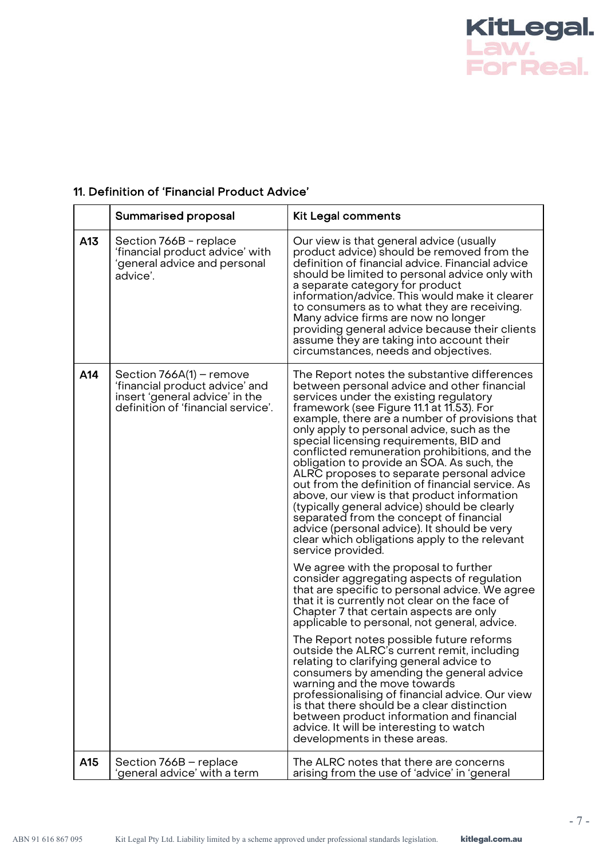

# 11. Definition of 'Financial Product Advice'

|     | <b>Summarised proposal</b>                                                                                                         | Kit Legal comments                                                                                                                                                                                                                                                                                                                                                                                                                                                                                                                                                                                                                                                                                                                                                                           |
|-----|------------------------------------------------------------------------------------------------------------------------------------|----------------------------------------------------------------------------------------------------------------------------------------------------------------------------------------------------------------------------------------------------------------------------------------------------------------------------------------------------------------------------------------------------------------------------------------------------------------------------------------------------------------------------------------------------------------------------------------------------------------------------------------------------------------------------------------------------------------------------------------------------------------------------------------------|
| A13 | Section 766B - replace<br>financial product advice' with<br>'general advice and personal<br>advice'.                               | Our view is that general advice (usually<br>product advice) should be removed from the<br>definition of financial advice. Financial advice<br>should be limited to personal advice only with<br>a separate category for product<br>information/advice. This would make it clearer<br>to consumers as to what they are receiving.<br>Many advice firms are now no longer<br>providing general advice because their clients<br>assume they are taking into account their<br>circumstances, needs and objectives.                                                                                                                                                                                                                                                                               |
| A14 | Section 766A(1) - remove<br>'financial product advice' and<br>insert 'general advice' in the<br>definition of 'financial service'. | The Report notes the substantive differences<br>between personal advice and other financial<br>services under the existing regulatory<br>framework (see Figure 11.1 at 11.53). For<br>example, there are a number of provisions that<br>only apply to personal advice, such as the<br>special licensing requirements, BID and<br>conflicted remuneration prohibitions, and the<br>obligation to provide an SOA. As such, the<br>ALRC proposes to separate personal advice<br>out from the definition of financial service. As<br>above, our view is that product information<br>(typically general advice) should be clearly<br>separated from the concept of financial<br>advice (personal advice). It should be very<br>clear which obligations apply to the relevant<br>service provided. |
|     |                                                                                                                                    | We agree with the proposal to further<br>consider aggregating aspects of regulation<br>that are specific to personal advice. We agree<br>that it is currently not clear on the face of<br>Chapter 7 that certain aspects are only<br>applicable to personal, not general, advice.                                                                                                                                                                                                                                                                                                                                                                                                                                                                                                            |
|     |                                                                                                                                    | The Report notes possible future reforms<br>outside the ALRC's current remit, including<br>relating to clarifying general advice to<br>consumers by amending the general advice<br>warning and the move towards<br>professionalising of financial advice. Our view<br>is that there should be a clear distinction<br>between product information and financial<br>advice. It will be interesting to watch<br>developments in these areas.                                                                                                                                                                                                                                                                                                                                                    |
| A15 | Section 766B - replace<br>'general advice' with a term                                                                             | The ALRC notes that there are concerns<br>arising from the use of 'advice' in 'general                                                                                                                                                                                                                                                                                                                                                                                                                                                                                                                                                                                                                                                                                                       |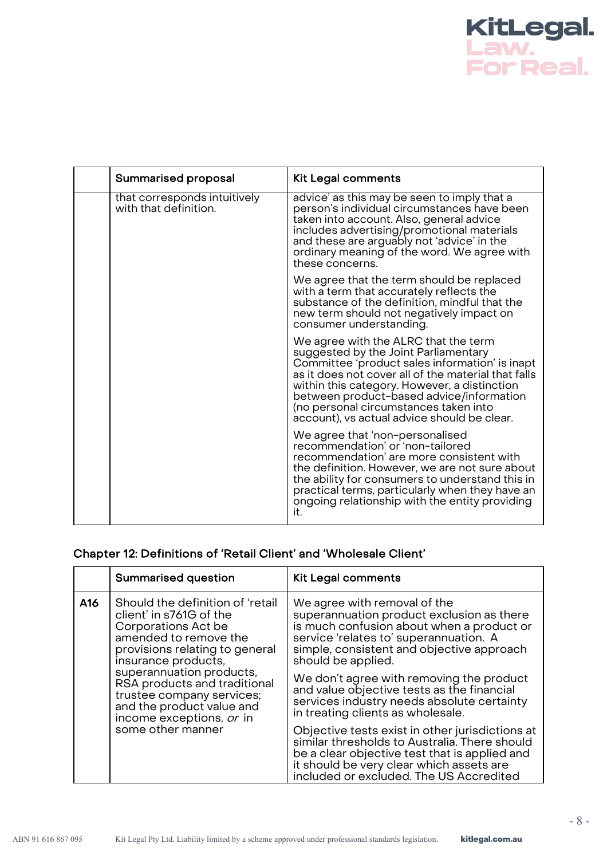

| <b>Summarised proposal</b>                            | Kit Legal comments                                                                                                                                                                                                                                                                                                                                                        |
|-------------------------------------------------------|---------------------------------------------------------------------------------------------------------------------------------------------------------------------------------------------------------------------------------------------------------------------------------------------------------------------------------------------------------------------------|
| that corresponds intuitively<br>with that definition. | advice' as this may be seen to imply that a<br>person's individual circumstances have been<br>taken into account. Also, general advice<br>includes advertising/promotional materials<br>and these are arguably not 'advice' in the<br>ordinary meaning of the word. We agree with<br>these concerns.                                                                      |
|                                                       | We agree that the term should be replaced<br>with a term that accurately reflects the<br>substance of the definition, mindful that the<br>new term should not negatively impact on<br>consumer understanding.                                                                                                                                                             |
|                                                       | We agree with the ALRC that the term<br>suggested by the Joint Parliamentary<br>Committee 'product sales information' is inapt<br>as it does not cover all of the material that falls<br>within this category. However, a distinction<br>between product-based advice/information<br>(no personal circumstances taken into<br>account), vs actual advice should be clear. |
|                                                       | We agree that 'non-personalised<br>recommendation' or 'non-tailored<br>recommendation' are more consistent with<br>the definition. However, we are not sure about<br>the ability for consumers to understand this in<br>practical terms, particularly when they have an<br>ongoing relationship with the entity providing<br>it.                                          |

## Chapter 12: Definitions of 'Retail Client' and 'Wholesale Client'

|     | <b>Summarised question</b>                                                                                                                                                                                                                                                                                                                  | <b>Kit Legal comments</b>                                                                                                                                                                                                                |
|-----|---------------------------------------------------------------------------------------------------------------------------------------------------------------------------------------------------------------------------------------------------------------------------------------------------------------------------------------------|------------------------------------------------------------------------------------------------------------------------------------------------------------------------------------------------------------------------------------------|
| A16 | Should the definition of 'retail<br>client' in s761G of the<br>Corporations Act be<br>amended to remove the<br>provisions relating to general<br>insurance products,<br>superannuation products,<br>RSA products and traditional<br>trustee company services;<br>and the product value and<br>income exceptions, or in<br>some other manner | We agree with removal of the<br>superannuation product exclusion as there<br>is much confusion about when a product or<br>service 'relates to' superannuation. A<br>simple, consistent and objective approach<br>should be applied.      |
|     |                                                                                                                                                                                                                                                                                                                                             | We don't agree with removing the product<br>and value objective tests as the financial<br>services industry needs absolute certainty<br>in treating clients as wholesale.                                                                |
|     |                                                                                                                                                                                                                                                                                                                                             | Objective tests exist in other jurisdictions at<br>similar thresholds to Australia. There should<br>be a clear objective test that is applied and<br>it should be very clear which assets are<br>included or excluded. The US Accredited |

ABN 91 616 867 095 Kit Legal Pty Ltd. Liability limited by a scheme approved under professional standards legislation. kitlegal.com.au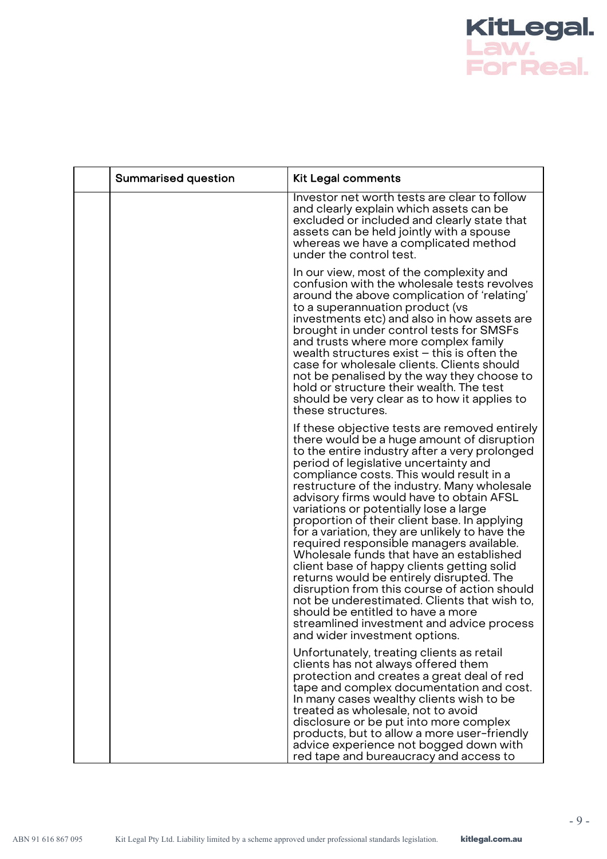

| <b>Summarised question</b> | Kit Legal comments                                                                                                                                                                                                                                                                                                                                                                                                                                                                                                                                                                                                                                                                                                                                                                                                                                                            |
|----------------------------|-------------------------------------------------------------------------------------------------------------------------------------------------------------------------------------------------------------------------------------------------------------------------------------------------------------------------------------------------------------------------------------------------------------------------------------------------------------------------------------------------------------------------------------------------------------------------------------------------------------------------------------------------------------------------------------------------------------------------------------------------------------------------------------------------------------------------------------------------------------------------------|
|                            | Investor net worth tests are clear to follow<br>and clearly explain which assets can be<br>excluded or included and clearly state that<br>assets can be held jointly with a spouse<br>whereas we have a complicated method<br>under the control test.                                                                                                                                                                                                                                                                                                                                                                                                                                                                                                                                                                                                                         |
|                            | In our view, most of the complexity and<br>confusion with the wholesale tests revolves<br>around the above complication of 'relating'<br>to a superannuation product (vs<br>investments etc) and also in how assets are<br>brought in under control tests for SMSFs<br>and trusts where more complex family<br>wealth structures $exist - this$ is often the<br>case for wholesale clients. Clients should<br>not be penalised by the way they choose to<br>hold or structure their wealth. The test<br>should be very clear as to how it applies to<br>these structures.                                                                                                                                                                                                                                                                                                     |
|                            | If these objective tests are removed entirely<br>there would be a huge amount of disruption<br>to the entire industry after a very prolonged<br>period of legislative uncertainty and<br>compliance costs. This would result in a<br>restructure of the industry. Many wholesale<br>advisory firms would have to obtain AFSL<br>variations or potentially lose a large<br>proportion of their client base. In applying<br>for a variation, they are unlikely to have the<br>required responsible managers available.<br>Wholesale funds that have an established<br>client base of happy clients getting solid<br>returns would be entirely disrupted. The<br>disruption from this course of action should<br>not be underestimated. Clients that wish to,<br>should be entitled to have a more<br>streamlined investment and advice process<br>and wider investment options. |
|                            | Unfortunately, treating clients as retail<br>clients has not always offered them<br>protection and creates a great deal of red<br>tape and complex documentation and cost.<br>In many cases wealthy clients wish to be<br>treated as wholesale, not to avoid<br>disclosure or be put into more complex<br>products, but to allow a more user-friendly<br>advice experience not bogged down with<br>red tape and bureaucracy and access to                                                                                                                                                                                                                                                                                                                                                                                                                                     |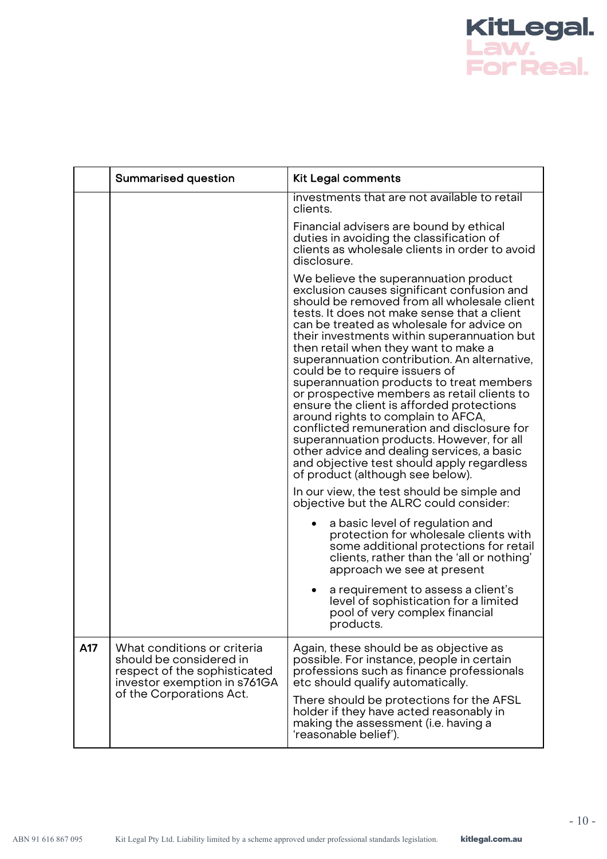

|     | <b>Summarised question</b>                                                                                                                         | Kit Legal comments                                                                                                                                                                                                                                                                                                                                                                                                                                                                                                                                                                                                                                                                                                                                                                                               |
|-----|----------------------------------------------------------------------------------------------------------------------------------------------------|------------------------------------------------------------------------------------------------------------------------------------------------------------------------------------------------------------------------------------------------------------------------------------------------------------------------------------------------------------------------------------------------------------------------------------------------------------------------------------------------------------------------------------------------------------------------------------------------------------------------------------------------------------------------------------------------------------------------------------------------------------------------------------------------------------------|
|     |                                                                                                                                                    | investments that are not available to retail<br>clients.                                                                                                                                                                                                                                                                                                                                                                                                                                                                                                                                                                                                                                                                                                                                                         |
|     |                                                                                                                                                    | Financial advisers are bound by ethical<br>duties in avoiding the classification of<br>clients as wholesale clients in order to avoid<br>disclosure.                                                                                                                                                                                                                                                                                                                                                                                                                                                                                                                                                                                                                                                             |
|     |                                                                                                                                                    | We believe the superannuation product<br>exclusion causes significant confusion and<br>should be removed from all wholesale client<br>tests. It does not make sense that a client<br>can be treated as wholesale for advice on<br>their investments within superannuation but<br>then retail when they want to make a<br>superannuation contribution. An alternative,<br>could be to require issuers of<br>superannuation products to treat members<br>or prospective members as retail clients to<br>ensure the client is afforded protections<br>around rights to complain to AFCA,<br>conflicted remuneration and disclosure for<br>superannuation products. However, for all<br>other advice and dealing services, a basic<br>and objective test should apply regardless<br>of product (although see below). |
|     |                                                                                                                                                    | In our view, the test should be simple and<br>objective but the ALRC could consider:                                                                                                                                                                                                                                                                                                                                                                                                                                                                                                                                                                                                                                                                                                                             |
|     |                                                                                                                                                    | a basic level of regulation and<br>protection for wholesale clients with<br>some additional protections for retail<br>clients, rather than the 'all or nothing'<br>approach we see at present                                                                                                                                                                                                                                                                                                                                                                                                                                                                                                                                                                                                                    |
|     |                                                                                                                                                    | a requirement to assess a client's<br>level of sophistication for a limited<br>pool of very complex financial<br>products.                                                                                                                                                                                                                                                                                                                                                                                                                                                                                                                                                                                                                                                                                       |
| A17 | What conditions or criteria<br>should be considered in<br>respect of the sophisticated<br>investor exemption in s761GA<br>of the Corporations Act. | Again, these should be as objective as<br>possible. For instance, people in certain<br>professions such as finance professionals<br>etc should qualify automatically.<br>There should be protections for the AFSL<br>holder if they have acted reasonably in<br>making the assessment (i.e. having a<br>'reasonable belief').                                                                                                                                                                                                                                                                                                                                                                                                                                                                                    |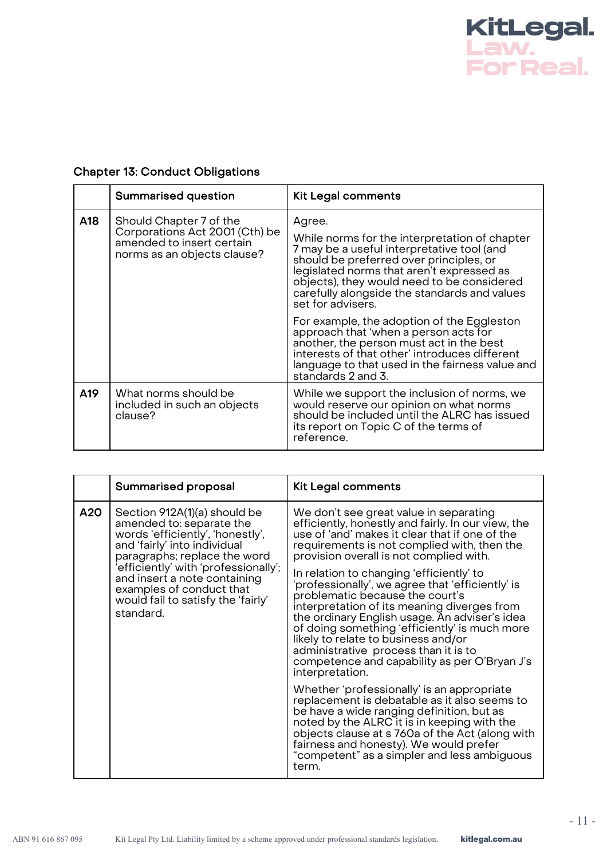

# Chapter 13: Conduct Obligations

|                                                                                                                              | <b>Summarised question</b>                                                                                                                                                                                                                                                                                       | Kit Legal comments                                                                                                                                                                                                                                        |
|------------------------------------------------------------------------------------------------------------------------------|------------------------------------------------------------------------------------------------------------------------------------------------------------------------------------------------------------------------------------------------------------------------------------------------------------------|-----------------------------------------------------------------------------------------------------------------------------------------------------------------------------------------------------------------------------------------------------------|
| A18<br>Should Chapter 7 of the<br>Corporations Act 2001 (Cth) be<br>amended to insert certain<br>norms as an objects clause? | Agree.<br>While norms for the interpretation of chapter<br>7 may be a useful interpretative tool (and<br>should be preferred over principles, or<br>legislated norms that aren't expressed as<br>objects), they would need to be considered<br>carefully alongside the standards and values<br>set for advisers. |                                                                                                                                                                                                                                                           |
|                                                                                                                              |                                                                                                                                                                                                                                                                                                                  | For example, the adoption of the Eggleston<br>approach that 'when a person acts for<br>another, the person must act in the best<br>interests of that other' introduces different<br>language to that used in the fairness value and<br>standards 2 and 3. |
| A19                                                                                                                          | What norms should be<br>included in such an objects<br>clause?                                                                                                                                                                                                                                                   | While we support the inclusion of norms, we<br>would reserve our opinion on what norms<br>should be included until the ALRC has issued<br>its report on Topic C of the terms of<br>reference.                                                             |

|     | Summarised proposal                                                                                                                                                                                                                                                                                                                        | Kit Legal comments                                                                                                                                                                                                                                                                                                                                                                                                                 |
|-----|--------------------------------------------------------------------------------------------------------------------------------------------------------------------------------------------------------------------------------------------------------------------------------------------------------------------------------------------|------------------------------------------------------------------------------------------------------------------------------------------------------------------------------------------------------------------------------------------------------------------------------------------------------------------------------------------------------------------------------------------------------------------------------------|
| A20 | Section 912A(1)(a) should be<br>amended to: separate the<br>words 'efficiently', 'honestly',<br>and 'fairly' into individual<br>paragraphs; replace the word<br>'efficiently' with 'professionally';<br>and insert a note containing<br>examples of conduct that<br>would fail to satisfy the 'fairly'<br>standard.                        | We don't see great value in separating<br>efficiently, honestly and fairly. In our view, the<br>use of 'and' makes it clear that if one of the<br>requirements is not complied with, then the<br>provision overall is not complied with.                                                                                                                                                                                           |
|     |                                                                                                                                                                                                                                                                                                                                            | In relation to changing 'efficiently' to<br>'professionally', we agree that 'efficiently' is<br>problematic because the court's<br>interpretation of its meaning diverges from<br>the ordinary English usage. An adviser's idea<br>of doing something 'efficiently' is much more<br>likely to relate to business and/or<br>administrative process than it is to<br>competence and capability as per O'Bryan J's<br>interpretation. |
|     | Whether 'professionally' is an appropriate<br>replacement is debatable as it also seems to<br>be have a wide ranging definition, but as<br>noted by the ALRC it is in keeping with the<br>objects clause at s760a of the Act (along with<br>fairness and honesty). We would prefer<br>"competent" as a simpler and less ambiguous<br>term. |                                                                                                                                                                                                                                                                                                                                                                                                                                    |

ABN 91 616 867 095 Kit Legal Pty Ltd. Liability limited by a scheme approved under professional standards legislation. kitlegal.com.au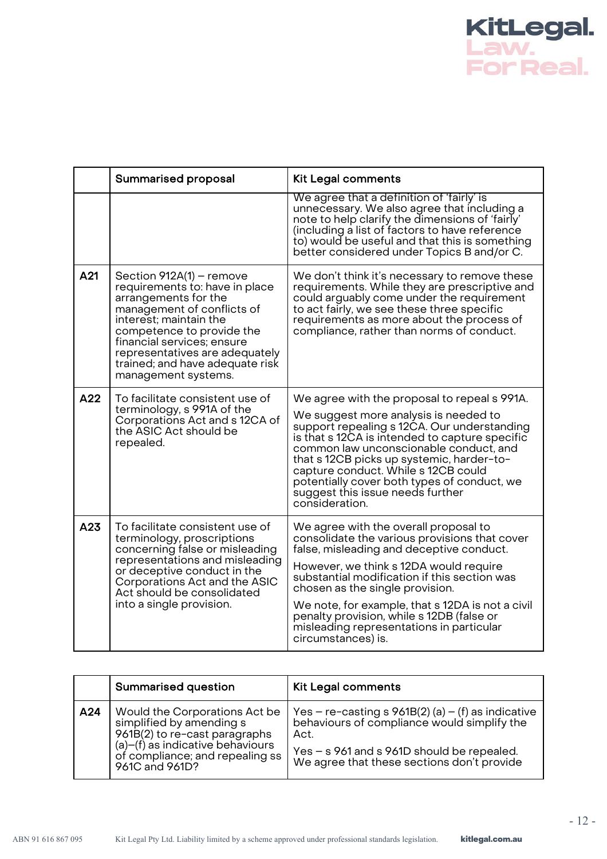

|     | <b>Summarised proposal</b>                                                                                                                                                                                                                                                                        | <b>Kit Legal comments</b>                                                                                                                                                                                                                                                                                                                                                                                                          |
|-----|---------------------------------------------------------------------------------------------------------------------------------------------------------------------------------------------------------------------------------------------------------------------------------------------------|------------------------------------------------------------------------------------------------------------------------------------------------------------------------------------------------------------------------------------------------------------------------------------------------------------------------------------------------------------------------------------------------------------------------------------|
|     |                                                                                                                                                                                                                                                                                                   | We agree that a definition of 'fairly' is<br>unnecessary. We also agree that including a<br>note to help clarify the dimensions of 'fairly'<br>(including a list of factors to have reference<br>to) would be useful and that this is something<br>better considered under Topics B and/or C.                                                                                                                                      |
| A21 | Section 912A(1) - remove<br>requirements to: have in place<br>arrangements for the<br>management of conflicts of<br>interest; maintain the<br>competence to provide the<br>financial services; ensure<br>representatives are adequately<br>trained; and have adequate risk<br>management systems. | We don't think it's necessary to remove these<br>requirements. While they are prescriptive and<br>could arguably come under the requirement<br>to act fairly, we see these three specific<br>requirements as more about the process of<br>compliance, rather than norms of conduct.                                                                                                                                                |
| A22 | To facilitate consistent use of<br>terminology, s 991A of the<br>Corporations Act and s 12CA of<br>the ASIC Act should be<br>repealed.                                                                                                                                                            | We agree with the proposal to repeal s 991A.<br>We suggest more analysis is needed to<br>support repealing s 12CA. Our understanding<br>is that s 12CA is intended to capture specific<br>common law unconscionable conduct, and<br>that s 12CB picks up systemic, harder-to-<br>capture conduct. While s 12CB could<br>potentially cover both types of conduct, we<br>suggest this issue needs further<br>consideration.          |
| A23 | To facilitate consistent use of<br>terminology, proscriptions<br>concerning false or misleading<br>representations and misleading<br>or deceptive conduct in the<br>Corporations Act and the ASIC<br>Act should be consolidated<br>into a single provision.                                       | We agree with the overall proposal to<br>consolidate the various provisions that cover<br>false, misleading and deceptive conduct.<br>However, we think s 12DA would require<br>substantial modification if this section was<br>chosen as the single provision.<br>We note, for example, that s 12DA is not a civil<br>penalty provision, while s 12DB (false or<br>misleading representations in particular<br>circumstances) is. |

|     | <b>Summarised question</b>                                                                                                                                                                | <b>Kit Legal comments</b>                                                                                                                                                                               |
|-----|-------------------------------------------------------------------------------------------------------------------------------------------------------------------------------------------|---------------------------------------------------------------------------------------------------------------------------------------------------------------------------------------------------------|
| A24 | Would the Corporations Act be<br>simplified by amending s<br>961B(2) to re-cast paragraphs<br>$(a)$ – $(f)$ as indicative behaviours<br>of compliance; and repealing ss<br>961C and 961D? | Yes – re-casting s $961B(2)$ (a) – (f) as indicative<br>behaviours of compliance would simplify the<br>Act.<br>Yes - s 961 and s 961D should be repealed.<br>We agree that these sections don't provide |

ABN 91 616 867 095 Kit Legal Pty Ltd. Liability limited by a scheme approved under professional standards legislation. kitlegal.com.au